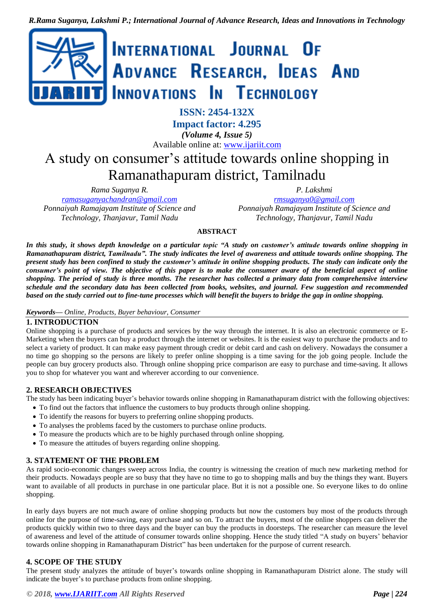

**Impact factor: 4.295** *(Volume 4, Issue 5)* Available online at: [www.ijariit.com](https://www.ijariit.com/?utm_source=pdf&utm_medium=edition&utm_campaign=OmAkSols&utm_term=V4I5-1244)

# A study on consumer's attitude towards online shopping in Ramanathapuram district, Tamilnadu

*Rama Suganya R. [ramasuganyachandran@gmail.com](mailto:ramasuganyachandran@gmail.com) Ponnaiyah Ramajayam Institute of Science and Technology, Thanjavur, Tamil Nadu*

*P. Lakshmi [rmsuganya0@gmail.com](mailto:rmsuganya0@gmail.com) Ponnaiyah Ramajayam Institute of Science and Technology, Thanjavur, Tamil Nadu*

**ABSTRACT**

*In this study, it shows depth knowledge on a particular topic "A study on customer's attitude towards online shopping in Ramanathapuram district, Tamilnadu". The study indicates the level of awareness and attitude towards online shopping. The present study has been confined to study the customer's attitude in online shopping products. The study can indicate only the consumer's point of view. The objective of this paper is to make the consumer aware of the beneficial aspect of online shopping. The period of study is three months. The researcher has collected a primary data from comprehensive interview schedule and the secondary data has been collected from books, websites, and journal. Few suggestion and recommended based on the study carried out to fine-tune processes which will benefit the buyers to bridge the gap in online shopping.* 

#### *Keywords— Online, Products, Buyer behaviour, Consumer*

#### **1. INTRODUCTION**

Online shopping is a purchase of products and services by the way through the internet. It is also an electronic commerce or E-Marketing when the buyers can buy a product through the internet or websites. It is the easiest way to purchase the products and to select a variety of product. It can make easy payment through credit or debit card and cash on delivery. Nowadays the consumer a no time go shopping so the persons are likely to prefer online shopping is a time saving for the job going people. Include the people can buy grocery products also. Through online shopping price comparison are easy to purchase and time-saving. It allows you to shop for whatever you want and wherever according to our convenience.

## **2. RESEARCH OBJECTIVES**

The study has been indicating buyer's behavior towards online shopping in Ramanathapuram district with the following objectives:

- To find out the factors that influence the customers to buy products through online shopping.
- To identify the reasons for buyers to preferring online shopping products.
- To analyses the problems faced by the customers to purchase online products.
- To measure the products which are to be highly purchased through online shopping.
- To measure the attitudes of buyers regarding online shopping.

#### **3. STATEMENT OF THE PROBLEM**

As rapid socio-economic changes sweep across India, the country is witnessing the creation of much new marketing method for their products. Nowadays people are so busy that they have no time to go to shopping malls and buy the things they want. Buyers want to available of all products in purchase in one particular place. But it is not a possible one. So everyone likes to do online shopping.

In early days buyers are not much aware of online shopping products but now the customers buy most of the products through online for the purpose of time-saving, easy purchase and so on. To attract the buyers, most of the online shoppers can deliver the products quickly within two to three days and the buyer can buy the products in doorsteps. The researcher can measure the level of awareness and level of the attitude of consumer towards online shopping. Hence the study titled "A study on buyers' behavior towards online shopping in Ramanathapuram District" has been undertaken for the purpose of current research.

#### **4. SCOPE OF THE STUDY**

The present study analyzes the attitude of buyer's towards online shopping in Ramanathapuram District alone. The study will indicate the buyer's to purchase products from online shopping.

*© 2018, [www.IJARIIT.com](file:///C:/omak/Downloads/www.IJARIIT.com) All Rights Reserved Page | 224*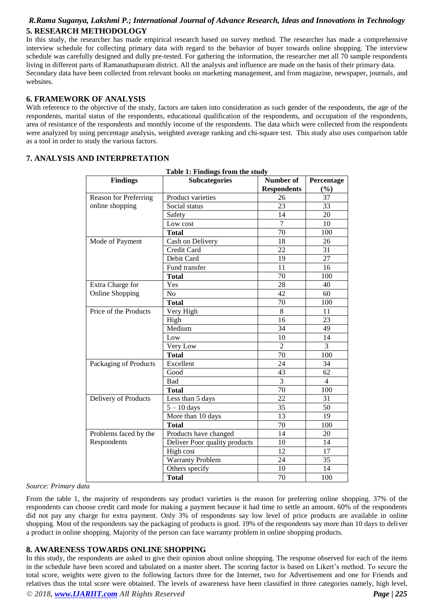## *R.Rama Suganya, Lakshmi P.; International Journal of Advance Research, Ideas and Innovations in Technology* **5. RESEARCH METHODOLOGY**

In this study, the researcher has made empirical research based on survey method. The researcher has made a comprehensive interview schedule for collecting primary data with regard to the behavior of buyer towards online shopping. The interview schedule was carefully designed and dully pre-tested. For gathering the information, the researcher met all 70 sample respondents living in different parts of Ramanathapuram district. All the analysis and influence are made on the basis of their primary data. Secondary data have been collected from relevant books on marketing management, and from magazine, newspaper, journals, and websites.

#### **6. FRAMEWORK OF ANALYSIS**

With reference to the objective of the study, factors are taken into consideration as such gender of the respondents, the age of the respondents, marital status of the respondents, educational qualification of the respondents, and occupation of the respondents, area of resistance of the respondents and monthly income of the respondents. The data which were collected from the respondents were analyzed by using percentage analysis, weighted average ranking and chi-square test. This study also uses comparison table as a tool in order to study the various factors.

# **7. ANALYSIS AND INTERPRETATION**

| Table 1: Findings from the study |                               |                    |                |  |  |
|----------------------------------|-------------------------------|--------------------|----------------|--|--|
| <b>Findings</b>                  | <b>Subcategories</b>          | Number of          | Percentage     |  |  |
|                                  |                               | <b>Respondents</b> | $(\%)$         |  |  |
| <b>Reason for Preferring</b>     | Product varieties             | 26                 | 37             |  |  |
| online shopping                  | Social status                 | 23                 | 33             |  |  |
|                                  | Safety                        | 14                 | 20             |  |  |
|                                  | Low cost                      | $\overline{7}$     | 10             |  |  |
| <b>Total</b>                     |                               | 70                 | 100            |  |  |
| Mode of Payment                  | Cash on Delivery              | 18                 | 26             |  |  |
|                                  | Credit Card                   | 22                 | 31             |  |  |
|                                  | Debit Card                    | 19                 | 27             |  |  |
|                                  | Fund transfer                 | 11                 | 16             |  |  |
|                                  | <b>Total</b>                  | 70                 | 100            |  |  |
| Extra Charge for                 | Yes                           | 28                 | 40             |  |  |
| <b>Online Shopping</b>           | N <sub>o</sub>                | 42                 | 60             |  |  |
|                                  | <b>Total</b>                  | 70                 | 100            |  |  |
| Price of the Products            | Very High                     | 8                  | 11             |  |  |
|                                  | High                          | 16                 | 23             |  |  |
|                                  | Medium                        | 34                 | 49             |  |  |
|                                  | Low                           | 10                 | 14             |  |  |
|                                  | Very Low                      | $\overline{2}$     | 3              |  |  |
|                                  | <b>Total</b>                  | 70                 | 100            |  |  |
| Packaging of Products            | Excellent                     | 24                 | 34             |  |  |
|                                  | Good                          | 43                 | 62             |  |  |
|                                  | Bad                           | 3                  | $\overline{4}$ |  |  |
|                                  | <b>Total</b>                  | 70                 | 100            |  |  |
| Delivery of Products             | Less than 5 days              | $\overline{22}$    | 31             |  |  |
|                                  | $5 - 10$ days                 | 35                 | 50             |  |  |
|                                  | More than 10 days             | 13                 | 19             |  |  |
|                                  | <b>Total</b>                  | 70                 | 100            |  |  |
| Problems faced by the            | Products have changed         | 14                 | 20             |  |  |
| Respondents                      | Deliver Poor quality products | 10                 | 14             |  |  |
|                                  | High cost                     | 12                 | 17             |  |  |
| <b>Warranty Problem</b>          |                               | 24                 | 35             |  |  |
|                                  | Others specify                | 10                 | 14             |  |  |
|                                  | <b>Total</b>                  | 70                 | 100            |  |  |

|  | Table 1: Findings from the study |  |  |
|--|----------------------------------|--|--|

#### *Source: Primary data*

From the table 1, the majority of respondents say product varieties is the reason for preferring online shopping. 37% of the respondents can choose credit card mode for making a payment because it had time to settle an amount. 60% of the respondents did not pay any charge for extra payment. Only 3% of respondents say low level of price products are available in online shopping. Most of the respondents say the packaging of products is good. 19% of the respondents say more than 10 days to deliver a product in online shopping. Majority of the person can face warranty problem in online shopping products.

#### **8. AWARENESS TOWARDS ONLINE SHOPPING**

In this study, the respondents are asked to give their opinion about online shopping. The response observed for each of the items in the schedule have been scored and tabulated on a master sheet. The scoring factor is based on Likert's method. To secure the total score, weights were given to the following factors three for the Internet, two for Advertisement and one for Friends and relatives thus the total score were obtained. The levels of awareness have been classified in three categories namely, high level,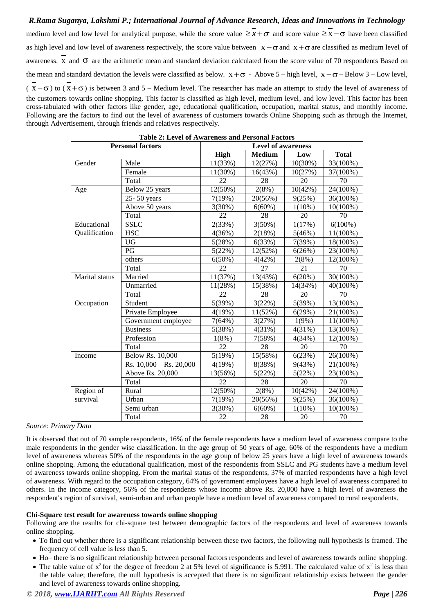# *R.Rama Suganya, Lakshmi P.; International Journal of Advance Research, Ideas and Innovations in Technology* medium level and low level for analytical purpose, while the score value  $\geq x + \sigma$  and score value  $\geq x - \sigma$  have been classified as high level and low level of awareness respectively, the score value between  $x - \sigma$  and  $x + \sigma$  are classified as medium level of awareness.  $\overline{x}$  and  $\sigma$  are the arithmetic mean and standard deviation calculated from the score value of 70 respondents Based on the mean and standard deviation the levels were classified as below.  $x + \sigma$  - Above 5 – high level,  $x - \sigma$  – Below 3 – Low level,  $(x-\sigma)$  to  $(x+\sigma)$  is between 3 and 5 – Medium level. The researcher has made an attempt to study the level of awareness of the customers towards online shopping. This factor is classified as high level, medium level, and low level. This factor has been cross-tabulated with other factors like gender, age, educational qualification, occupation, marital status, and monthly income. Following are the factors to find out the level of awareness of customers towards Online Shopping such as through the Internet, through Advertisement, through friends and relatives respectively.

| Table 2: Level of Awareness and Personal Factors |                             |                           |               |            |              |
|--------------------------------------------------|-----------------------------|---------------------------|---------------|------------|--------------|
| <b>Personal factors</b>                          |                             | <b>Level of awareness</b> |               |            |              |
|                                                  |                             | <b>High</b>               | <b>Medium</b> | Low        | <b>Total</b> |
| Gender                                           | Male                        | 11(33%)                   | 12(27%)       | 10(30%)    | 33(100%)     |
|                                                  | Female                      | 11(30%)                   | 16(43%)       | 10(27%)    | 37(100%)     |
|                                                  | Total                       | 22                        | 28            | 20         | 70           |
| Age                                              | Below 25 years              | 12(50%)                   | 2(8%)         | $10(42\%)$ | 24(100%)     |
|                                                  | 25-50 years                 | 7(19%)                    | 20(56%)       | 9(25%)     | 36(100%)     |
|                                                  | Above 50 years              | 3(30%)                    | $6(60\%)$     | $1(10\%)$  | $10(100\%)$  |
|                                                  | Total                       | 22                        | 28            | 20         | 70           |
| Educational                                      | <b>SSLC</b>                 | 2(33%)                    | $3(50\%)$     | 1(17%)     | $6(100\%)$   |
| Qualification                                    | <b>HSC</b>                  | 4(36%)                    | 2(18%)        | 5(46%)     | 11(100%)     |
|                                                  | <b>UG</b>                   | 5(28%)                    | 6(33%)        | 7(39%)     | 18(100%)     |
|                                                  | PG                          | 5(22%)                    | 12(52%)       | 6(26%)     | 23(100%)     |
|                                                  | others                      | $6(50\%)$                 | 4(42%)        | 2(8%)      | 12(100%)     |
|                                                  | Total                       | 22                        | 27            | 21         | 70           |
| Marital status                                   | Married                     | 11(37%)                   | 13(43%)       | 6(20%)     | 30(100%)     |
|                                                  | Unmarried                   | 11(28%)                   | 15(38%)       | 14(34%)    | 40(100%)     |
|                                                  | Total                       | 22                        | 28            | 20         | 70           |
| Occupation                                       | Student                     | 5(39%)                    | 3(22%)        | 5(39%)     | 13(100%)     |
|                                                  | Private Employee            | 4(19%)                    | 11(52%)       | 6(29%)     | 21(100%)     |
|                                                  | Government employee         | 7(64%)                    | 3(27%)        | 1(9%)      | $11(100\%)$  |
|                                                  | <b>Business</b>             | 5(38%)                    | 4(31%)        | 4(31%)     | 13(100%)     |
|                                                  | Profession                  | $1(8\%)$                  | 7(58%)        | 4(34%)     | 12(100%)     |
|                                                  | Total                       | 22                        | 28            | 20         | 70           |
| Income                                           | <b>Below Rs. 10,000</b>     | 5(19%)                    | 15(58%)       | 6(23%)     | 26(100%)     |
|                                                  | Rs. $10,000 -$ Rs. $20,000$ | 4(19%)                    | 8(38%)        | 9(43%)     | 21(100%)     |
|                                                  | Above Rs. 20,000            | 13(56%)                   | 5(22%)        | 5(22%)     | 23(100%)     |
|                                                  | Total                       | $\overline{22}$           | 28            | 20         | 70           |
| Region of                                        | Rural                       | 12(50%)                   | 2(8%)         | 10(42%)    | 24(100%)     |
| survival                                         | Urban                       | 7(19%)                    | 20(56%)       | 9(25%)     | 36(100%)     |
|                                                  | Semi urban                  | 3(30%)                    | $6(60\%)$     | $1(10\%)$  | $10(100\%)$  |
|                                                  | Total                       | 22                        | 28            | 20         | 70           |

|  |  |  |  |  | <b>Table 2: Level of Awareness and Personal Factors</b> |
|--|--|--|--|--|---------------------------------------------------------|
|--|--|--|--|--|---------------------------------------------------------|

#### *Source: Primary Data*

It is observed that out of 70 sample respondents, 16% of the female respondents have a medium level of awareness compare to the male respondents in the gender wise classification. In the age group of 50 years of age, 60% of the respondents have a medium level of awareness whereas 50% of the respondents in the age group of below 25 years have a high level of awareness towards online shopping. Among the educational qualification, most of the respondents from SSLC and PG students have a medium level of awareness towards online shopping. From the marital status of the respondents, 37% of married respondents have a high level of awareness. With regard to the occupation category, 64% of government employees have a high level of awareness compared to others. In the income category, 56% of the respondents whose income above Rs. 20,000 have a high level of awareness the respondent's region of survival, semi-urban and urban people have a medium level of awareness compared to rural respondents.

#### **Chi-Square test result for awareness towards online shopping**

Following are the results for chi-square test between demographic factors of the respondents and level of awareness towards online shopping.

- To find out whether there is a significant relationship between these two factors, the following null hypothesis is framed. The frequency of cell value is less than 5.
- Ho– there is no significant relationship between personal factors respondents and level of awareness towards online shopping.
- The table value of  $x^2$  for the degree of freedom 2 at 5% level of significance is 5.991. The calculated value of  $x^2$  is less than the table value; therefore, the null hypothesis is accepted that there is no significant relationship exists between the gender and level of awareness towards online shopping.